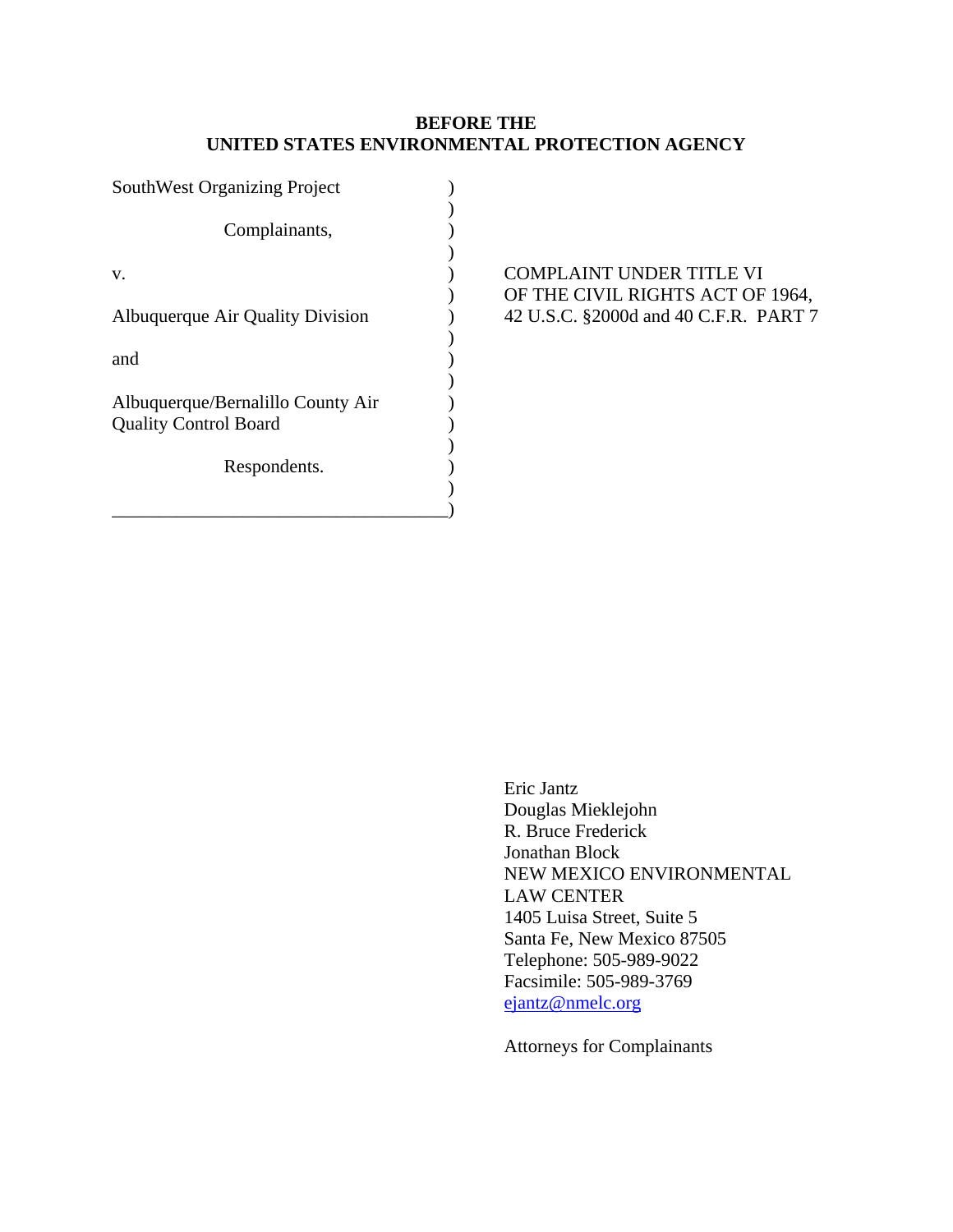# **BEFORE THE UNITED STATES ENVIRONMENTAL PROTECTION AGENCY**

| <b>SouthWest Organizing Project</b> |  |
|-------------------------------------|--|
|                                     |  |
| Complainants,                       |  |
|                                     |  |
| V.                                  |  |
|                                     |  |
| Albuquerque Air Quality Division    |  |
|                                     |  |
| and                                 |  |
| Albuquerque/Bernalillo County Air   |  |
| <b>Quality Control Board</b>        |  |
|                                     |  |
| Respondents.                        |  |
|                                     |  |
|                                     |  |

# ) COMPLAINT UNDER TITLE VI ) OF THE CIVIL RIGHTS ACT OF 1964,  $\mu$  42 U.S.C. §2000d and 40 C.F.R. PART 7

Eric Jantz Douglas Mieklejohn R. Bruce Frederick Jonathan Block NEW MEXICO ENVIRONMENTAL LAW CENTER 1405 Luisa Street, Suite 5 Santa Fe, New Mexico 87505 Telephone: 505-989-9022 Facsimile: 505-989-3769 ejantz@nmelc.org

Attorneys for Complainants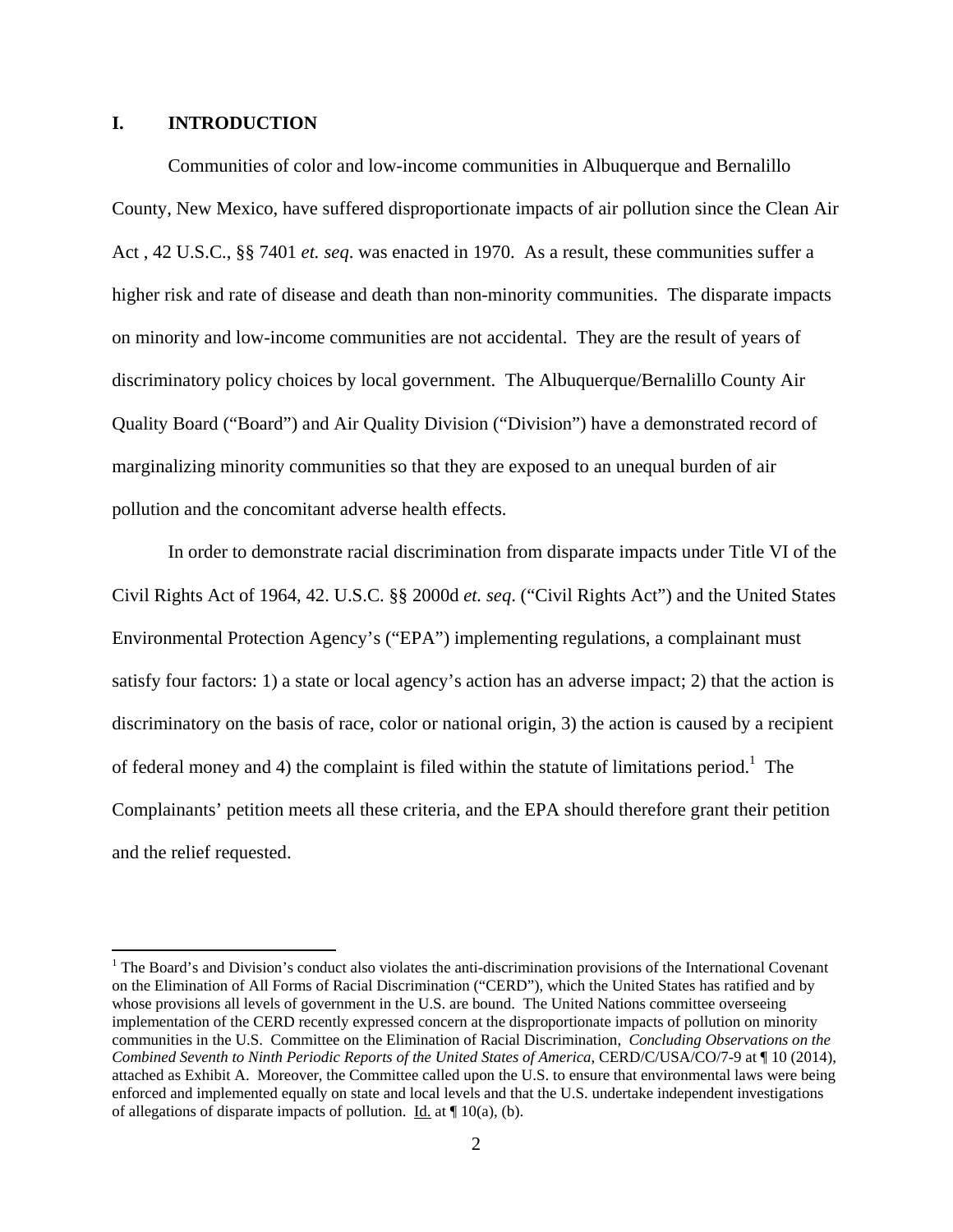## **I. INTRODUCTION**

1

 Communities of color and low-income communities in Albuquerque and Bernalillo County, New Mexico, have suffered disproportionate impacts of air pollution since the Clean Air Act , 42 U.S.C., §§ 7401 *et. seq*. was enacted in 1970. As a result, these communities suffer a higher risk and rate of disease and death than non-minority communities. The disparate impacts on minority and low-income communities are not accidental. They are the result of years of discriminatory policy choices by local government. The Albuquerque/Bernalillo County Air Quality Board ("Board") and Air Quality Division ("Division") have a demonstrated record of marginalizing minority communities so that they are exposed to an unequal burden of air pollution and the concomitant adverse health effects.

 In order to demonstrate racial discrimination from disparate impacts under Title VI of the Civil Rights Act of 1964, 42. U.S.C. §§ 2000d *et. seq*. ("Civil Rights Act") and the United States Environmental Protection Agency's ("EPA") implementing regulations, a complainant must satisfy four factors: 1) a state or local agency's action has an adverse impact; 2) that the action is discriminatory on the basis of race, color or national origin, 3) the action is caused by a recipient of federal money and 4) the complaint is filed within the statute of limitations period.<sup>1</sup> The Complainants' petition meets all these criteria, and the EPA should therefore grant their petition and the relief requested.

<sup>&</sup>lt;sup>1</sup> The Board's and Division's conduct also violates the anti-discrimination provisions of the International Covenant on the Elimination of All Forms of Racial Discrimination ("CERD"), which the United States has ratified and by whose provisions all levels of government in the U.S. are bound. The United Nations committee overseeing implementation of the CERD recently expressed concern at the disproportionate impacts of pollution on minority communities in the U.S. Committee on the Elimination of Racial Discrimination, *Concluding Observations on the Combined Seventh to Ninth Periodic Reports of the United States of America*, CERD/C/USA/CO/7-9 at ¶ 10 (2014), attached as Exhibit A. Moreover, the Committee called upon the U.S. to ensure that environmental laws were being enforced and implemented equally on state and local levels and that the U.S. undertake independent investigations of allegations of disparate impacts of pollution. Id. at  $\P$  10(a), (b).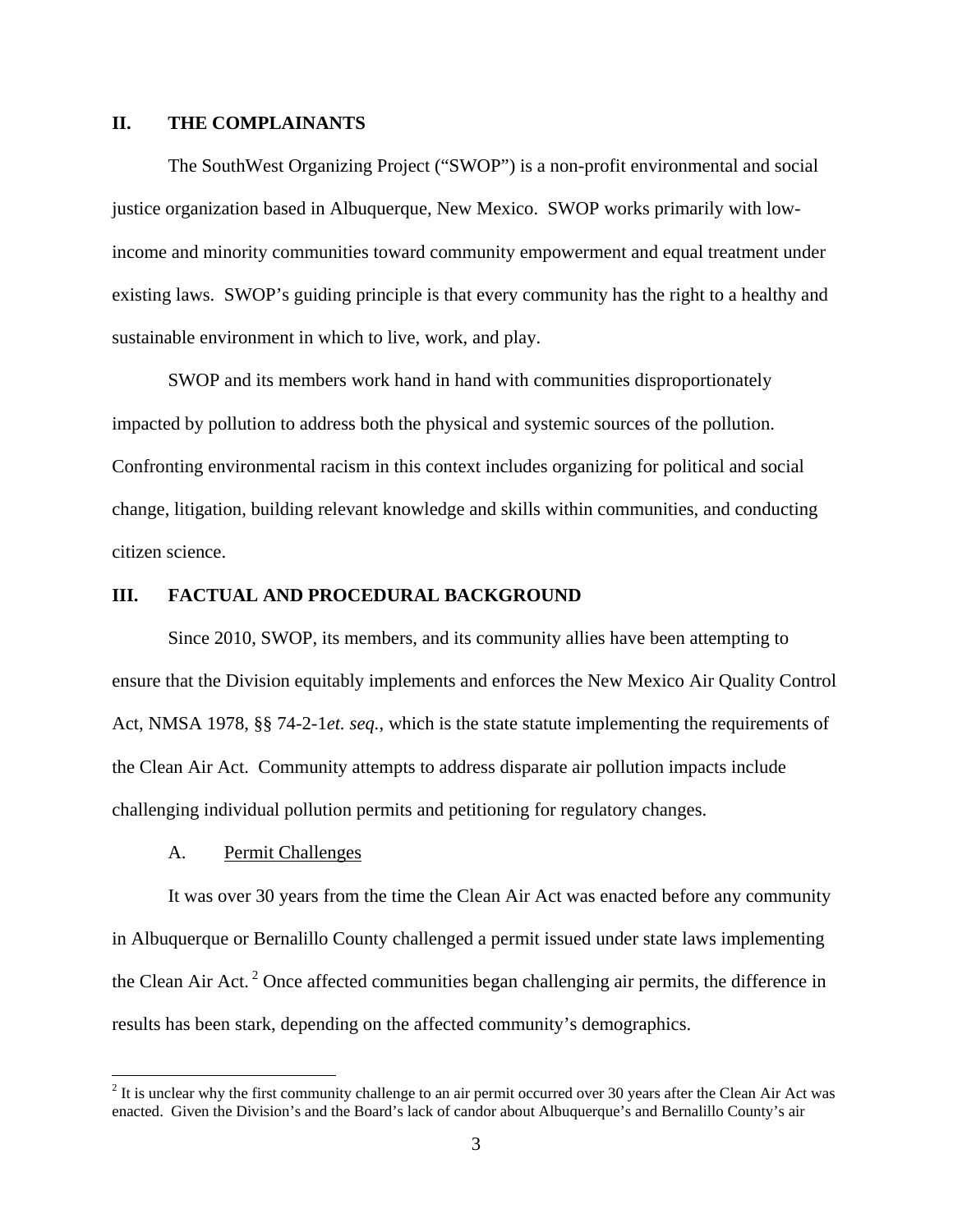## **II. THE COMPLAINANTS**

 The SouthWest Organizing Project ("SWOP") is a non-profit environmental and social justice organization based in Albuquerque, New Mexico. SWOP works primarily with lowincome and minority communities toward community empowerment and equal treatment under existing laws. SWOP's guiding principle is that every community has the right to a healthy and sustainable environment in which to live, work, and play.

 SWOP and its members work hand in hand with communities disproportionately impacted by pollution to address both the physical and systemic sources of the pollution. Confronting environmental racism in this context includes organizing for political and social change, litigation, building relevant knowledge and skills within communities, and conducting citizen science.

#### **III. FACTUAL AND PROCEDURAL BACKGROUND**

 Since 2010, SWOP, its members, and its community allies have been attempting to ensure that the Division equitably implements and enforces the New Mexico Air Quality Control Act, NMSA 1978, §§ 74-2-1*et. seq.*, which is the state statute implementing the requirements of the Clean Air Act. Community attempts to address disparate air pollution impacts include challenging individual pollution permits and petitioning for regulatory changes.

### A. Permit Challenges

 It was over 30 years from the time the Clean Air Act was enacted before any community in Albuquerque or Bernalillo County challenged a permit issued under state laws implementing the Clean Air Act. 2 Once affected communities began challenging air permits, the difference in results has been stark, depending on the affected community's demographics.

<sup>&</sup>lt;sup>2</sup> It is unclear why the first community challenge to an air permit occurred over 30 years after the Clean Air Act was enacted. Given the Division's and the Board's lack of candor about Albuquerque's and Bernalillo County's air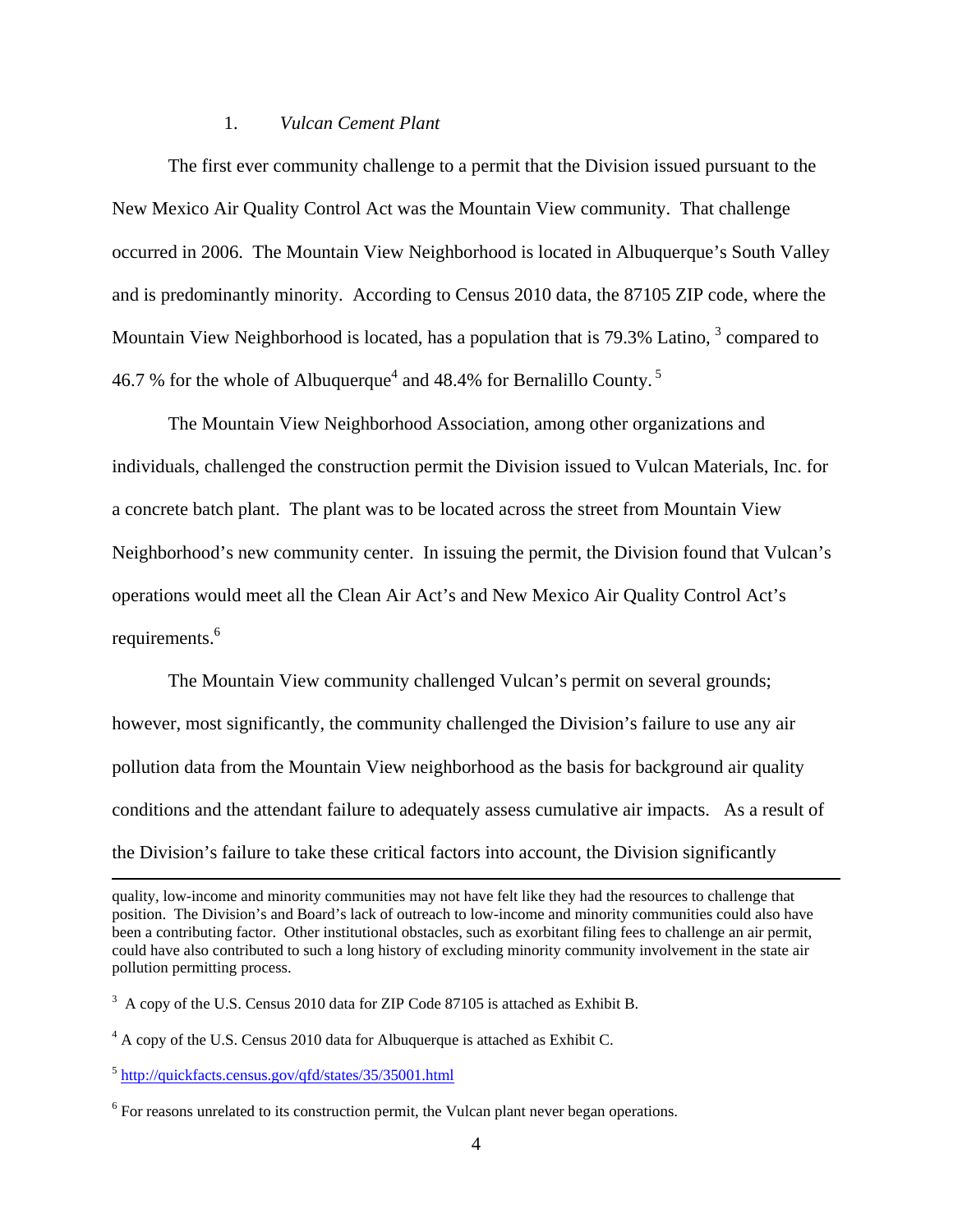#### 1. *Vulcan Cement Plant*

 The first ever community challenge to a permit that the Division issued pursuant to the New Mexico Air Quality Control Act was the Mountain View community. That challenge occurred in 2006. The Mountain View Neighborhood is located in Albuquerque's South Valley and is predominantly minority. According to Census 2010 data, the 87105 ZIP code, where the Mountain View Neighborhood is located, has a population that is  $79.3\%$  Latino,  $3 \text{ compared to}$ 46.7 % for the whole of Albuquerque<sup>4</sup> and 48.4% for Bernalillo County.<sup>5</sup>

 The Mountain View Neighborhood Association, among other organizations and individuals, challenged the construction permit the Division issued to Vulcan Materials, Inc. for a concrete batch plant. The plant was to be located across the street from Mountain View Neighborhood's new community center. In issuing the permit, the Division found that Vulcan's operations would meet all the Clean Air Act's and New Mexico Air Quality Control Act's requirements.<sup>6</sup>

 The Mountain View community challenged Vulcan's permit on several grounds; however, most significantly, the community challenged the Division's failure to use any air pollution data from the Mountain View neighborhood as the basis for background air quality conditions and the attendant failure to adequately assess cumulative air impacts. As a result of the Division's failure to take these critical factors into account, the Division significantly

<sup>5</sup> http://quickfacts.census.gov/qfd/states/35/35001.html

quality, low-income and minority communities may not have felt like they had the resources to challenge that position. The Division's and Board's lack of outreach to low-income and minority communities could also have been a contributing factor. Other institutional obstacles, such as exorbitant filing fees to challenge an air permit, could have also contributed to such a long history of excluding minority community involvement in the state air pollution permitting process.

 $3 \text{ A copy of the U.S. Census } 2010 \text{ data for ZIP Code } 87105 \text{ is attached as Exhibit B.}$ 

 $4$  A copy of the U.S. Census 2010 data for Albuquerque is attached as Exhibit C.

 $6$  For reasons unrelated to its construction permit, the Vulcan plant never began operations.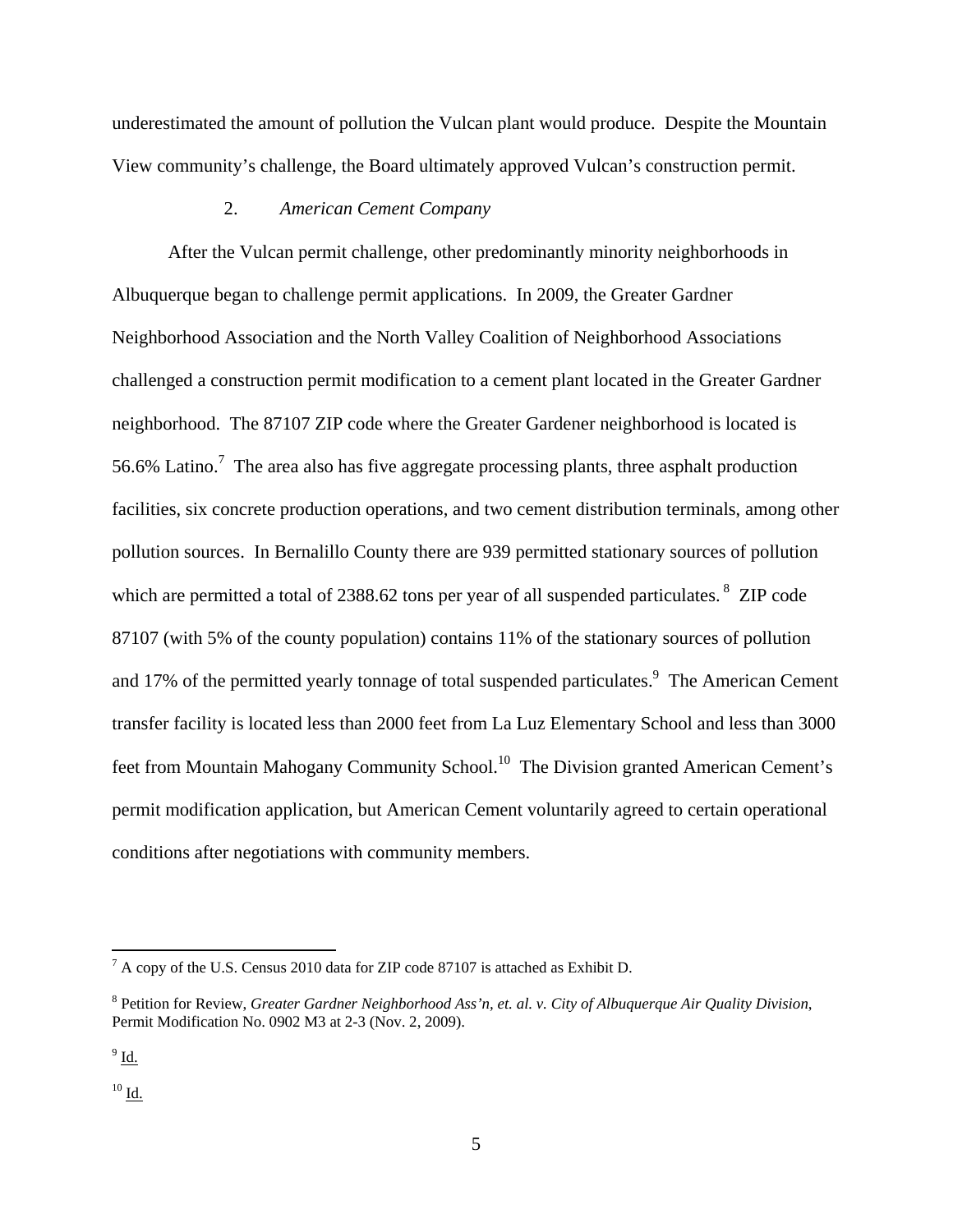underestimated the amount of pollution the Vulcan plant would produce. Despite the Mountain View community's challenge, the Board ultimately approved Vulcan's construction permit.

# 2. *American Cement Company*

 After the Vulcan permit challenge, other predominantly minority neighborhoods in Albuquerque began to challenge permit applications. In 2009, the Greater Gardner Neighborhood Association and the North Valley Coalition of Neighborhood Associations challenged a construction permit modification to a cement plant located in the Greater Gardner neighborhood. The 87107 ZIP code where the Greater Gardener neighborhood is located is 56.6% Latino.<sup>7</sup> The area also has five aggregate processing plants, three asphalt production facilities, six concrete production operations, and two cement distribution terminals, among other pollution sources. In Bernalillo County there are 939 permitted stationary sources of pollution which are permitted a total of 2388.62 tons per year of all suspended particulates.<sup>8</sup> ZIP code 87107 (with 5% of the county population) contains 11% of the stationary sources of pollution and 17% of the permitted yearly tonnage of total suspended particulates.<sup>9</sup> The American Cement transfer facility is located less than 2000 feet from La Luz Elementary School and less than 3000 feet from Mountain Mahogany Community School.<sup>10</sup> The Division granted American Cement's permit modification application, but American Cement voluntarily agreed to certain operational conditions after negotiations with community members.

 $\overline{a}$ 

 $^{10}$  Id.

 $^7$  A copy of the U.S. Census 2010 data for ZIP code 87107 is attached as Exhibit D.

<sup>8</sup> Petition for Review, *Greater Gardner Neighborhood Ass'n, et. al. v. City of Albuquerque Air Quality Division*, Permit Modification No. 0902 M3 at 2-3 (Nov. 2, 2009).

 $^{9}$  Id.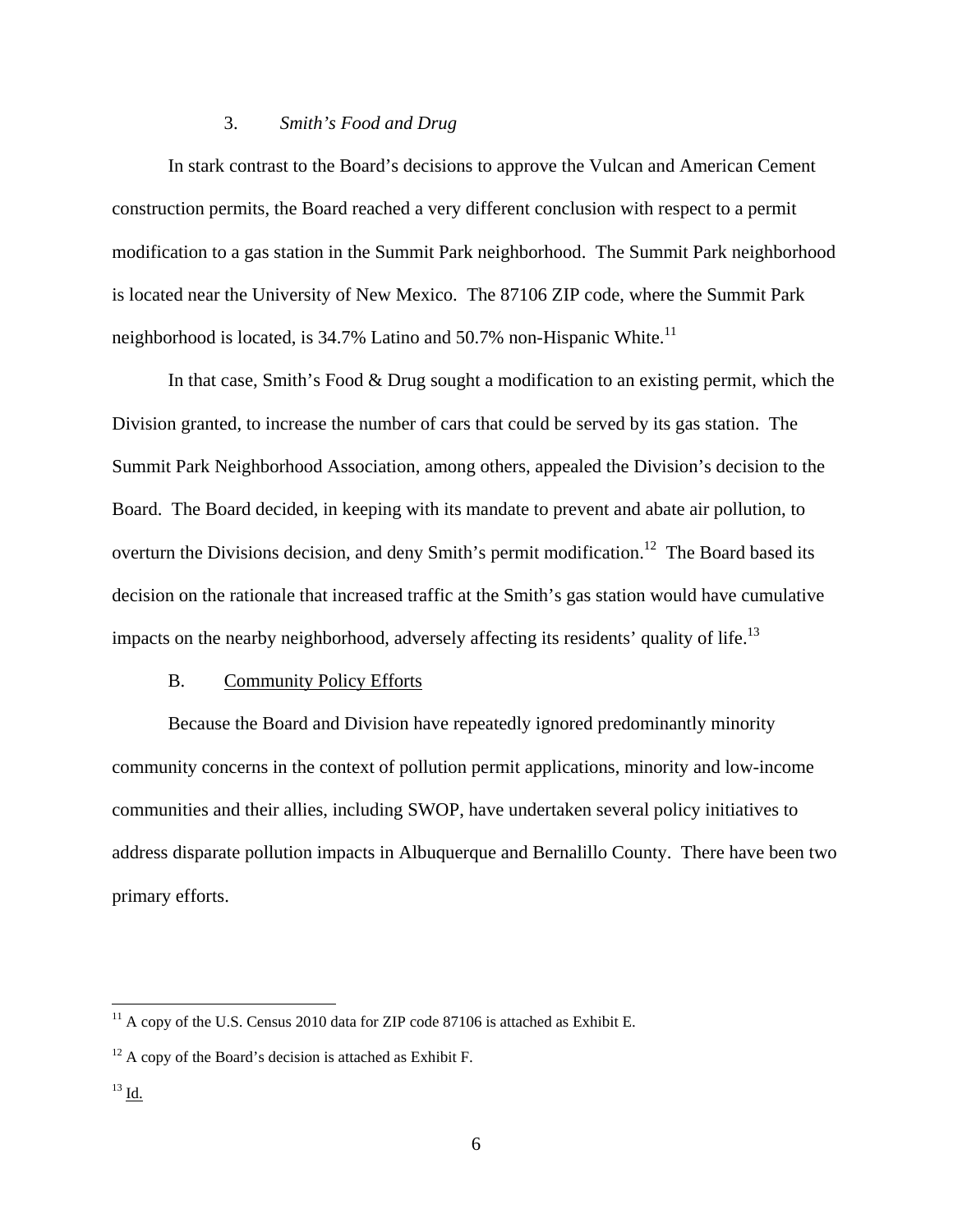## 3. *Smith's Food and Drug*

 In stark contrast to the Board's decisions to approve the Vulcan and American Cement construction permits, the Board reached a very different conclusion with respect to a permit modification to a gas station in the Summit Park neighborhood. The Summit Park neighborhood is located near the University of New Mexico. The 87106 ZIP code, where the Summit Park neighborhood is located, is  $34.7\%$  Latino and  $50.7\%$  non-Hispanic White.<sup>11</sup>

 In that case, Smith's Food & Drug sought a modification to an existing permit, which the Division granted, to increase the number of cars that could be served by its gas station. The Summit Park Neighborhood Association, among others, appealed the Division's decision to the Board. The Board decided, in keeping with its mandate to prevent and abate air pollution, to overturn the Divisions decision, and deny Smith's permit modification.<sup>12</sup> The Board based its decision on the rationale that increased traffic at the Smith's gas station would have cumulative impacts on the nearby neighborhood, adversely affecting its residents' quality of life.<sup>13</sup>

### B. Community Policy Efforts

 Because the Board and Division have repeatedly ignored predominantly minority community concerns in the context of pollution permit applications, minority and low-income communities and their allies, including SWOP, have undertaken several policy initiatives to address disparate pollution impacts in Albuquerque and Bernalillo County. There have been two primary efforts.

 $11$  A copy of the U.S. Census 2010 data for ZIP code 87106 is attached as Exhibit E.

 $12$  A copy of the Board's decision is attached as Exhibit F.

 $^{13}$  Id.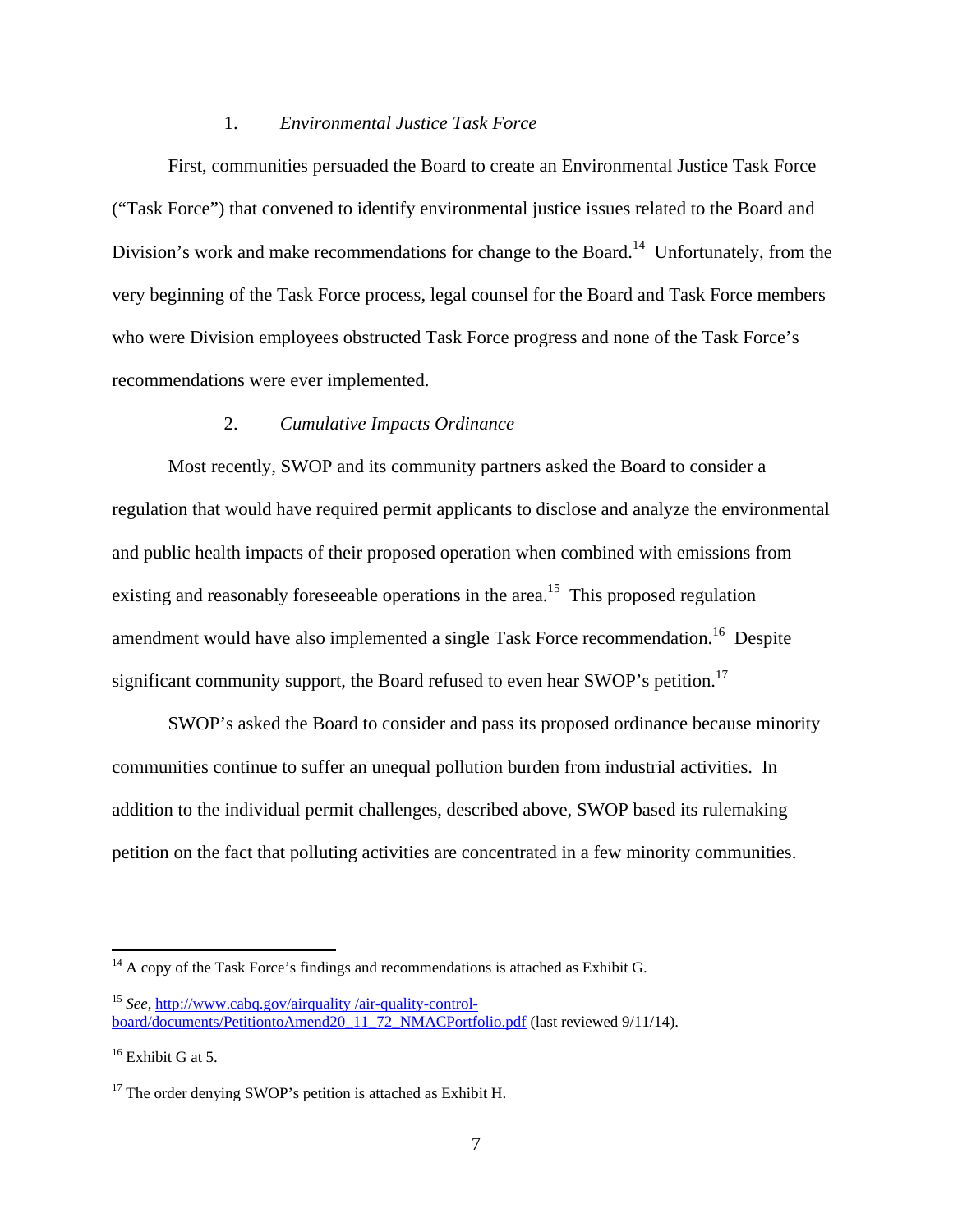### 1. *Environmental Justice Task Force*

 First, communities persuaded the Board to create an Environmental Justice Task Force ("Task Force") that convened to identify environmental justice issues related to the Board and Division's work and make recommendations for change to the Board.<sup>14</sup> Unfortunately, from the very beginning of the Task Force process, legal counsel for the Board and Task Force members who were Division employees obstructed Task Force progress and none of the Task Force's recommendations were ever implemented.

## 2. *Cumulative Impacts Ordinance*

 Most recently, SWOP and its community partners asked the Board to consider a regulation that would have required permit applicants to disclose and analyze the environmental and public health impacts of their proposed operation when combined with emissions from existing and reasonably foreseeable operations in the area.<sup>15</sup> This proposed regulation amendment would have also implemented a single Task Force recommendation.<sup>16</sup> Despite significant community support, the Board refused to even hear SWOP's petition.<sup>17</sup>

 SWOP's asked the Board to consider and pass its proposed ordinance because minority communities continue to suffer an unequal pollution burden from industrial activities. In addition to the individual permit challenges, described above, SWOP based its rulemaking petition on the fact that polluting activities are concentrated in a few minority communities.

 $14$  A copy of the Task Force's findings and recommendations is attached as Exhibit G.

<sup>15</sup> *See*, http://www.cabq.gov/airquality /air-quality-controlboard/documents/PetitiontoAmend20\_11\_72\_NMACPortfolio.pdf (last reviewed 9/11/14).

 $16$  Exhibit G at 5.

 $17$  The order denying SWOP's petition is attached as Exhibit H.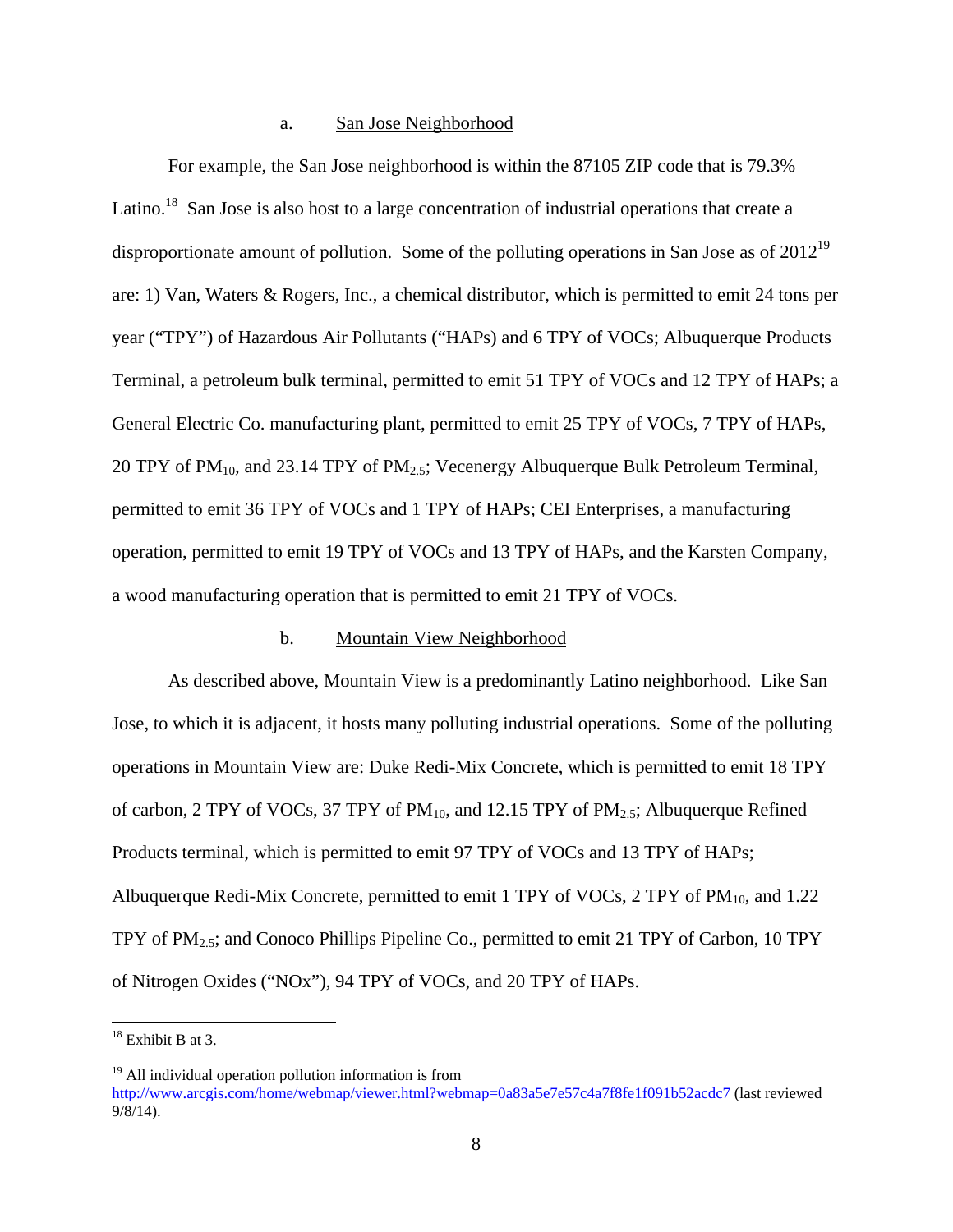#### a. San Jose Neighborhood

 For example, the San Jose neighborhood is within the 87105 ZIP code that is 79.3% Latino.<sup>18</sup> San Jose is also host to a large concentration of industrial operations that create a disproportionate amount of pollution. Some of the polluting operations in San Jose as of 2012<sup>19</sup> are: 1) Van, Waters & Rogers, Inc., a chemical distributor, which is permitted to emit 24 tons per year ("TPY") of Hazardous Air Pollutants ("HAPs) and 6 TPY of VOCs; Albuquerque Products Terminal, a petroleum bulk terminal, permitted to emit 51 TPY of VOCs and 12 TPY of HAPs; a General Electric Co. manufacturing plant, permitted to emit 25 TPY of VOCs, 7 TPY of HAPs, 20 TPY of PM<sub>10</sub>, and 23.14 TPY of PM<sub>2.5</sub>; Vecenergy Albuquerque Bulk Petroleum Terminal, permitted to emit 36 TPY of VOCs and 1 TPY of HAPs; CEI Enterprises, a manufacturing operation, permitted to emit 19 TPY of VOCs and 13 TPY of HAPs, and the Karsten Company, a wood manufacturing operation that is permitted to emit 21 TPY of VOCs.

#### b. Mountain View Neighborhood

 As described above, Mountain View is a predominantly Latino neighborhood. Like San Jose, to which it is adjacent, it hosts many polluting industrial operations. Some of the polluting operations in Mountain View are: Duke Redi-Mix Concrete, which is permitted to emit 18 TPY of carbon, 2 TPY of VOCs, 37 TPY of  $PM_{10}$ , and 12.15 TPY of  $PM_{2.5}$ ; Albuquerque Refined Products terminal, which is permitted to emit 97 TPY of VOCs and 13 TPY of HAPs; Albuquerque Redi-Mix Concrete, permitted to emit 1 TPY of VOCs, 2 TPY of  $PM_{10}$ , and 1.22 TPY of PM2.5; and Conoco Phillips Pipeline Co., permitted to emit 21 TPY of Carbon, 10 TPY of Nitrogen Oxides ("NOx"), 94 TPY of VOCs, and 20 TPY of HAPs.

 $\overline{a}$ 

 $18$  Exhibit B at 3.

<sup>&</sup>lt;sup>19</sup> All individual operation pollution information is from http://www.arcgis.com/home/webmap/viewer.html?webmap=0a83a5e7e57c4a7f8fe1f091b52acdc7 (last reviewed 9/8/14).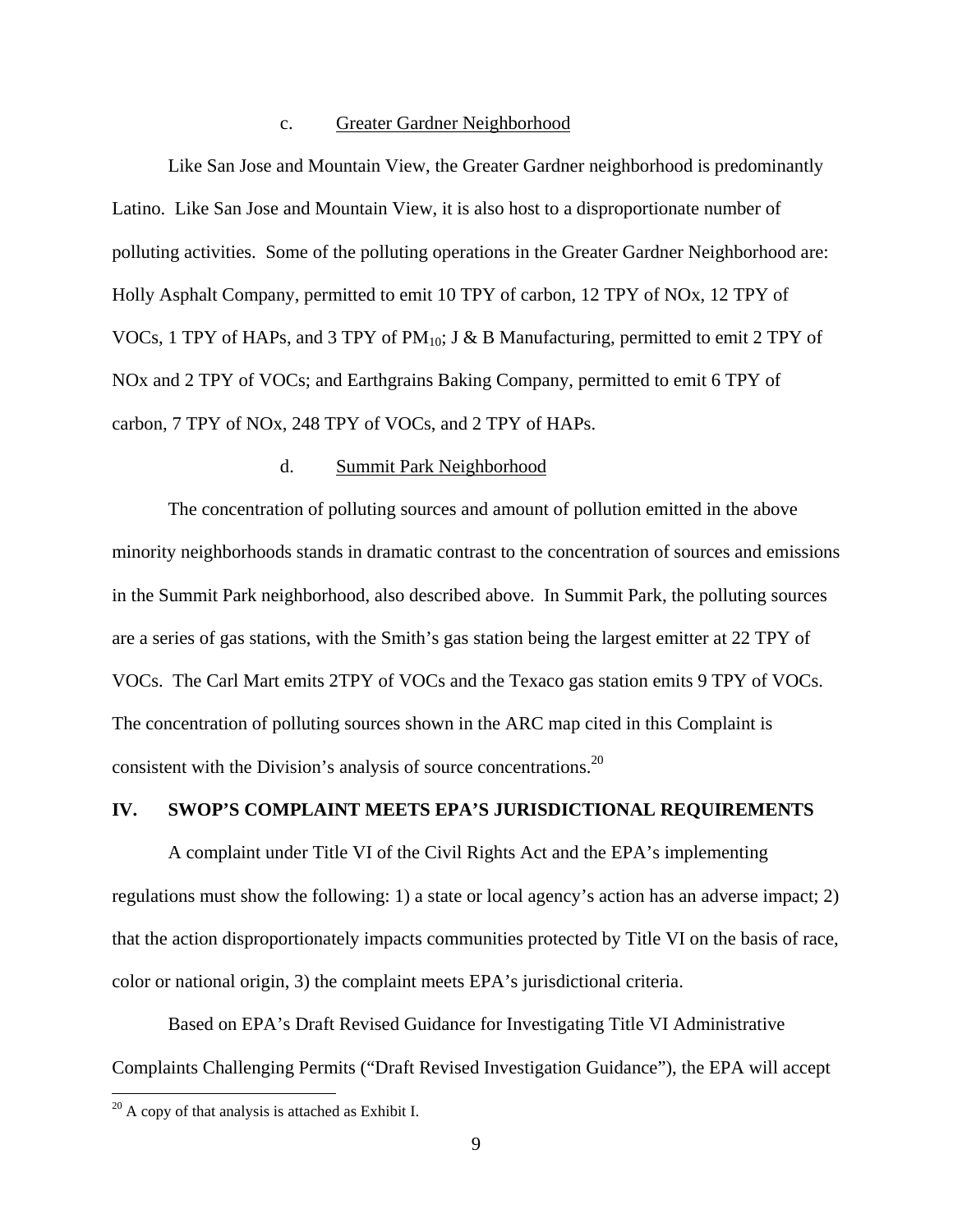#### c. Greater Gardner Neighborhood

 Like San Jose and Mountain View, the Greater Gardner neighborhood is predominantly Latino. Like San Jose and Mountain View, it is also host to a disproportionate number of polluting activities. Some of the polluting operations in the Greater Gardner Neighborhood are: Holly Asphalt Company, permitted to emit 10 TPY of carbon, 12 TPY of NOx, 12 TPY of VOCs, 1 TPY of HAPs, and 3 TPY of  $PM_{10}$ ; J & B Manufacturing, permitted to emit 2 TPY of NOx and 2 TPY of VOCs; and Earthgrains Baking Company, permitted to emit 6 TPY of carbon, 7 TPY of NOx, 248 TPY of VOCs, and 2 TPY of HAPs.

## d. Summit Park Neighborhood

 The concentration of polluting sources and amount of pollution emitted in the above minority neighborhoods stands in dramatic contrast to the concentration of sources and emissions in the Summit Park neighborhood, also described above. In Summit Park, the polluting sources are a series of gas stations, with the Smith's gas station being the largest emitter at 22 TPY of VOCs. The Carl Mart emits 2TPY of VOCs and the Texaco gas station emits 9 TPY of VOCs. The concentration of polluting sources shown in the ARC map cited in this Complaint is consistent with the Division's analysis of source concentrations.<sup>20</sup>

#### **IV. SWOP'S COMPLAINT MEETS EPA'S JURISDICTIONAL REQUIREMENTS**

 A complaint under Title VI of the Civil Rights Act and the EPA's implementing regulations must show the following: 1) a state or local agency's action has an adverse impact; 2) that the action disproportionately impacts communities protected by Title VI on the basis of race, color or national origin, 3) the complaint meets EPA's jurisdictional criteria.

 Based on EPA's Draft Revised Guidance for Investigating Title VI Administrative Complaints Challenging Permits ("Draft Revised Investigation Guidance"), the EPA will accept

 $\overline{a}$ 

 $^{20}$  A copy of that analysis is attached as Exhibit I.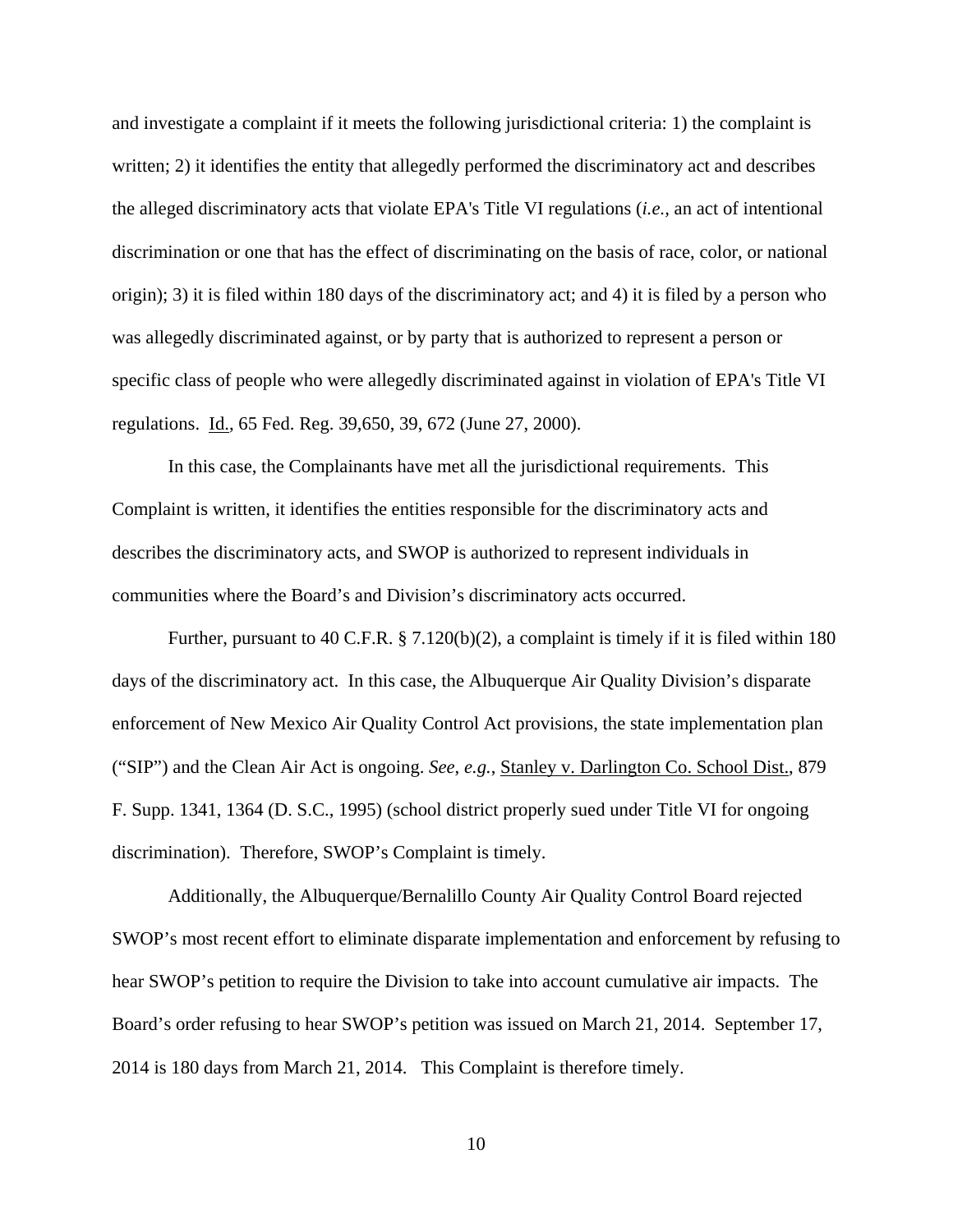and investigate a complaint if it meets the following jurisdictional criteria: 1) the complaint is written; 2) it identifies the entity that allegedly performed the discriminatory act and describes the alleged discriminatory acts that violate EPA's Title VI regulations (*i.e.,* an act of intentional discrimination or one that has the effect of discriminating on the basis of race, color, or national origin); 3) it is filed within 180 days of the discriminatory act; and 4) it is filed by a person who was allegedly discriminated against, or by party that is authorized to represent a person or specific class of people who were allegedly discriminated against in violation of EPA's Title VI regulations. Id., 65 Fed. Reg. 39,650, 39, 672 (June 27, 2000).

 In this case, the Complainants have met all the jurisdictional requirements. This Complaint is written, it identifies the entities responsible for the discriminatory acts and describes the discriminatory acts, and SWOP is authorized to represent individuals in communities where the Board's and Division's discriminatory acts occurred.

Further, pursuant to 40 C.F.R. § 7.120(b)(2), a complaint is timely if it is filed within 180 days of the discriminatory act. In this case, the Albuquerque Air Quality Division's disparate enforcement of New Mexico Air Quality Control Act provisions, the state implementation plan ("SIP") and the Clean Air Act is ongoing. *See*, *e.g.*, Stanley v. Darlington Co. School Dist., 879 F. Supp. 1341, 1364 (D. S.C., 1995) (school district properly sued under Title VI for ongoing discrimination). Therefore, SWOP's Complaint is timely.

 Additionally, the Albuquerque/Bernalillo County Air Quality Control Board rejected SWOP's most recent effort to eliminate disparate implementation and enforcement by refusing to hear SWOP's petition to require the Division to take into account cumulative air impacts. The Board's order refusing to hear SWOP's petition was issued on March 21, 2014. September 17, 2014 is 180 days from March 21, 2014. This Complaint is therefore timely.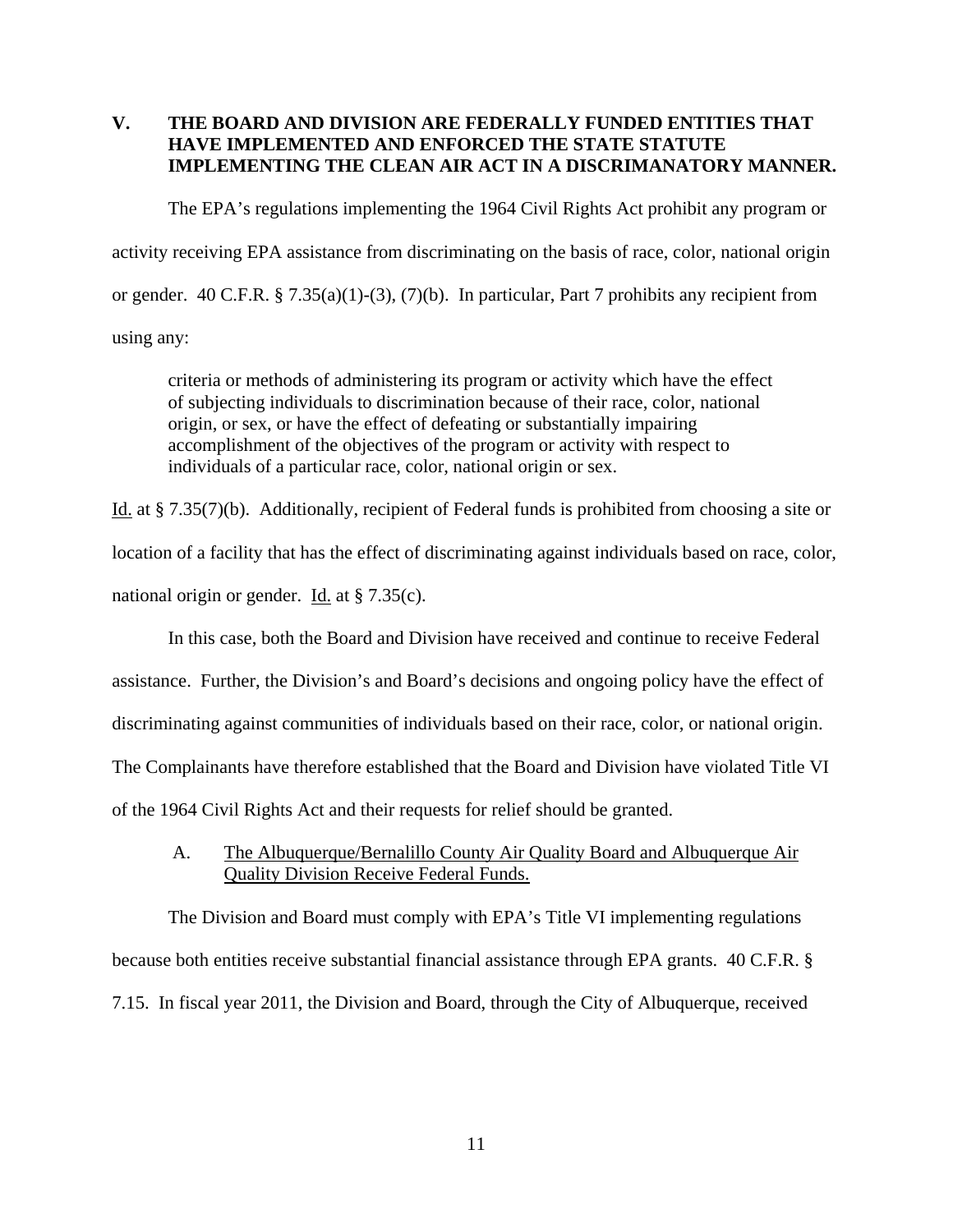# **V. THE BOARD AND DIVISION ARE FEDERALLY FUNDED ENTITIES THAT HAVE IMPLEMENTED AND ENFORCED THE STATE STATUTE IMPLEMENTING THE CLEAN AIR ACT IN A DISCRIMANATORY MANNER.**

The EPA's regulations implementing the 1964 Civil Rights Act prohibit any program or activity receiving EPA assistance from discriminating on the basis of race, color, national origin or gender. 40 C.F.R. § 7.35(a)(1)-(3), (7)(b). In particular, Part 7 prohibits any recipient from using any:

criteria or methods of administering its program or activity which have the effect of subjecting individuals to discrimination because of their race, color, national origin, or sex, or have the effect of defeating or substantially impairing accomplishment of the objectives of the program or activity with respect to individuals of a particular race, color, national origin or sex.

Id. at § 7.35(7)(b). Additionally, recipient of Federal funds is prohibited from choosing a site or location of a facility that has the effect of discriminating against individuals based on race, color, national origin or gender. Id. at § 7.35(c).

In this case, both the Board and Division have received and continue to receive Federal

assistance. Further, the Division's and Board's decisions and ongoing policy have the effect of

discriminating against communities of individuals based on their race, color, or national origin.

The Complainants have therefore established that the Board and Division have violated Title VI

of the 1964 Civil Rights Act and their requests for relief should be granted.

 A. The Albuquerque/Bernalillo County Air Quality Board and Albuquerque Air Quality Division Receive Federal Funds.

 The Division and Board must comply with EPA's Title VI implementing regulations because both entities receive substantial financial assistance through EPA grants. 40 C.F.R. § 7.15. In fiscal year 2011, the Division and Board, through the City of Albuquerque, received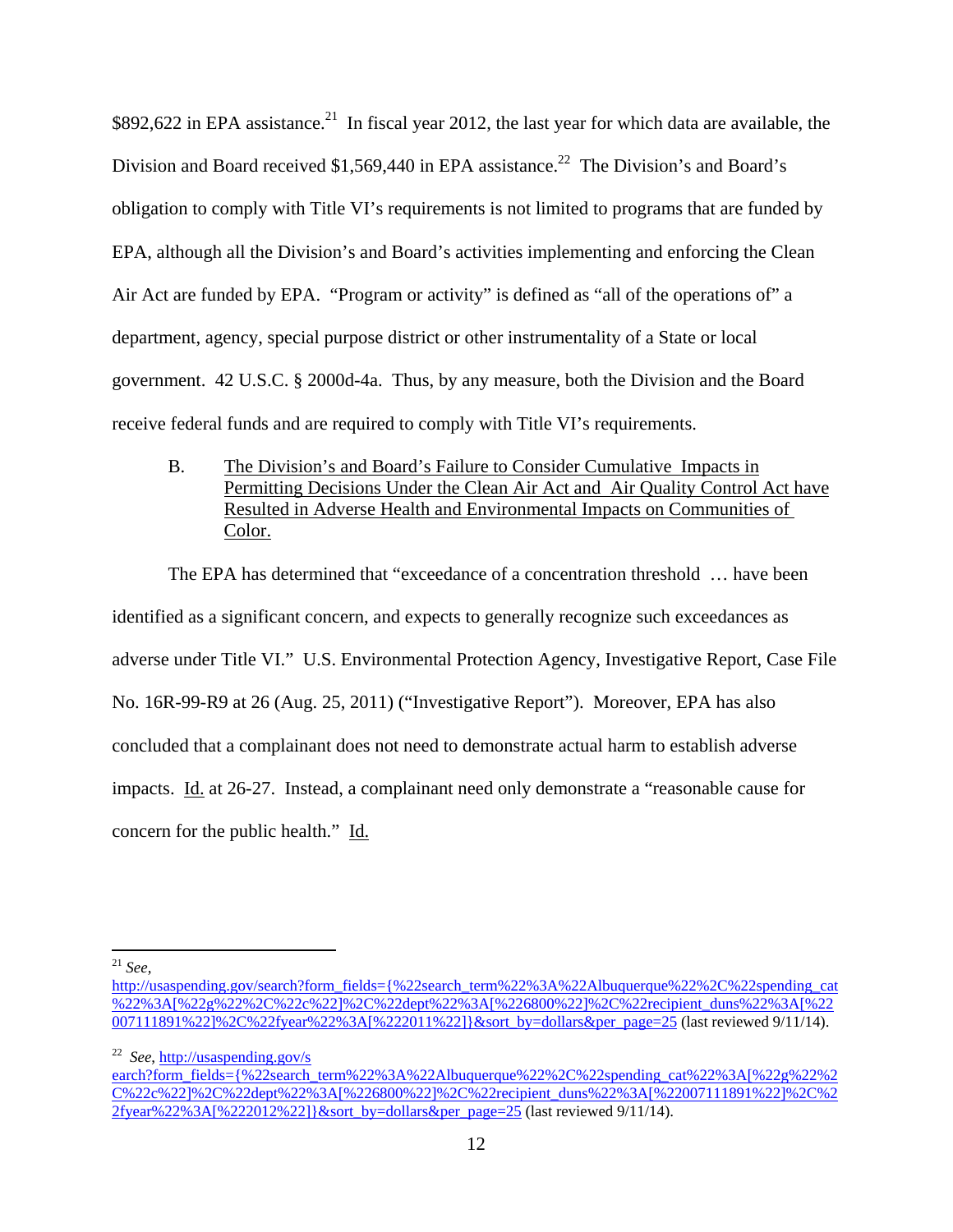\$892,622 in EPA assistance.<sup>21</sup> In fiscal year 2012, the last year for which data are available, the Division and Board received \$1,569,440 in EPA assistance.<sup>22</sup> The Division's and Board's obligation to comply with Title VI's requirements is not limited to programs that are funded by EPA, although all the Division's and Board's activities implementing and enforcing the Clean Air Act are funded by EPA. "Program or activity" is defined as "all of the operations of" a department, agency, special purpose district or other instrumentality of a State or local government. 42 U.S.C. § 2000d-4a. Thus, by any measure, both the Division and the Board receive federal funds and are required to comply with Title VI's requirements.

 B. The Division's and Board's Failure to Consider Cumulative Impacts in Permitting Decisions Under the Clean Air Act and Air Quality Control Act have Resulted in Adverse Health and Environmental Impacts on Communities of Color.

 The EPA has determined that "exceedance of a concentration threshold … have been identified as a significant concern, and expects to generally recognize such exceedances as adverse under Title VI." U.S. Environmental Protection Agency, Investigative Report, Case File No. 16R-99-R9 at 26 (Aug. 25, 2011) ("Investigative Report"). Moreover, EPA has also concluded that a complainant does not need to demonstrate actual harm to establish adverse impacts. Id. at 26-27. Instead, a complainant need only demonstrate a "reasonable cause for concern for the public health." Id.

 $\overline{a}$ 

22 *See*, http://usaspending.gov/s earch?form\_fields={%22search\_term%22%3A%22Albuquerque%22%2C%22spending\_cat%22%3A[%22g%22%2 C%22c%22]%2C%22dept%22%3A[%226800%22]%2C%22recipient\_duns%22%3A[%22007111891%22]%2C%2  $2fyear\%22\%3A[\%222012\%22]\&sort by=dollars\&per-page=25$  (last reviewed 9/11/14).

<sup>21</sup> *See*,

http://usaspending.gov/search?form\_fields={%22search\_term%22%3A%22Albuquerque%22%2C%22spending\_cat %22%3A[%22g%22%2C%22c%22]%2C%22dept%22%3A[%226800%22]%2C%22recipient\_duns%22%3A[%22 007111891%22]%2C%22fyear%22%3A[%222011%22]}&sort\_by=dollars&per\_page=25 (last reviewed 9/11/14).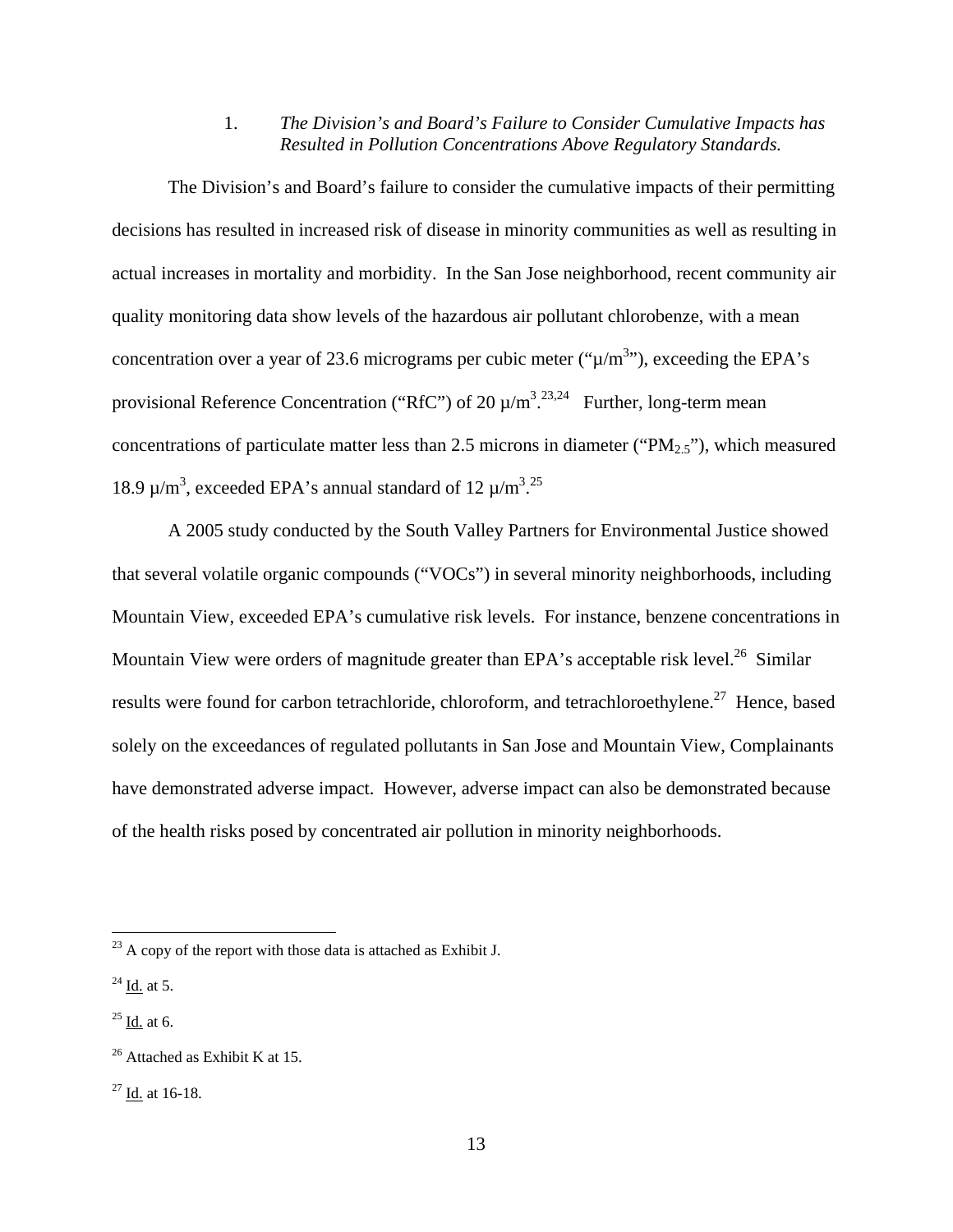1. *The Division's and Board's Failure to Consider Cumulative Impacts has Resulted in Pollution Concentrations Above Regulatory Standards.* 

 The Division's and Board's failure to consider the cumulative impacts of their permitting decisions has resulted in increased risk of disease in minority communities as well as resulting in actual increases in mortality and morbidity. In the San Jose neighborhood, recent community air quality monitoring data show levels of the hazardous air pollutant chlorobenze, with a mean concentration over a year of 23.6 micrograms per cubic meter (" $\mu/m^{3}$ "), exceeding the EPA's provisional Reference Concentration ("RfC") of 20  $\mu/m^3$ . <sup>23,24</sup> Further, long-term mean concentrations of particulate matter less than 2.5 microns in diameter (" $PM_{2.5}$ "), which measured 18.9  $\mu/m^3$ , exceeded EPA's annual standard of 12  $\mu/m^3$ .<sup>25</sup>

 A 2005 study conducted by the South Valley Partners for Environmental Justice showed that several volatile organic compounds ("VOCs") in several minority neighborhoods, including Mountain View, exceeded EPA's cumulative risk levels. For instance, benzene concentrations in Mountain View were orders of magnitude greater than EPA's acceptable risk level.<sup>26</sup> Similar results were found for carbon tetrachloride, chloroform, and tetrachloroethylene.<sup>27</sup> Hence, based solely on the exceedances of regulated pollutants in San Jose and Mountain View, Complainants have demonstrated adverse impact. However, adverse impact can also be demonstrated because of the health risks posed by concentrated air pollution in minority neighborhoods.

 $^{23}$  A copy of the report with those data is attached as Exhibit J.

 $^{24}$  Id. at 5.

 $25$  Id. at 6.

 $26$  Attached as Exhibit K at 15.

<sup>27</sup> Id. at 16-18.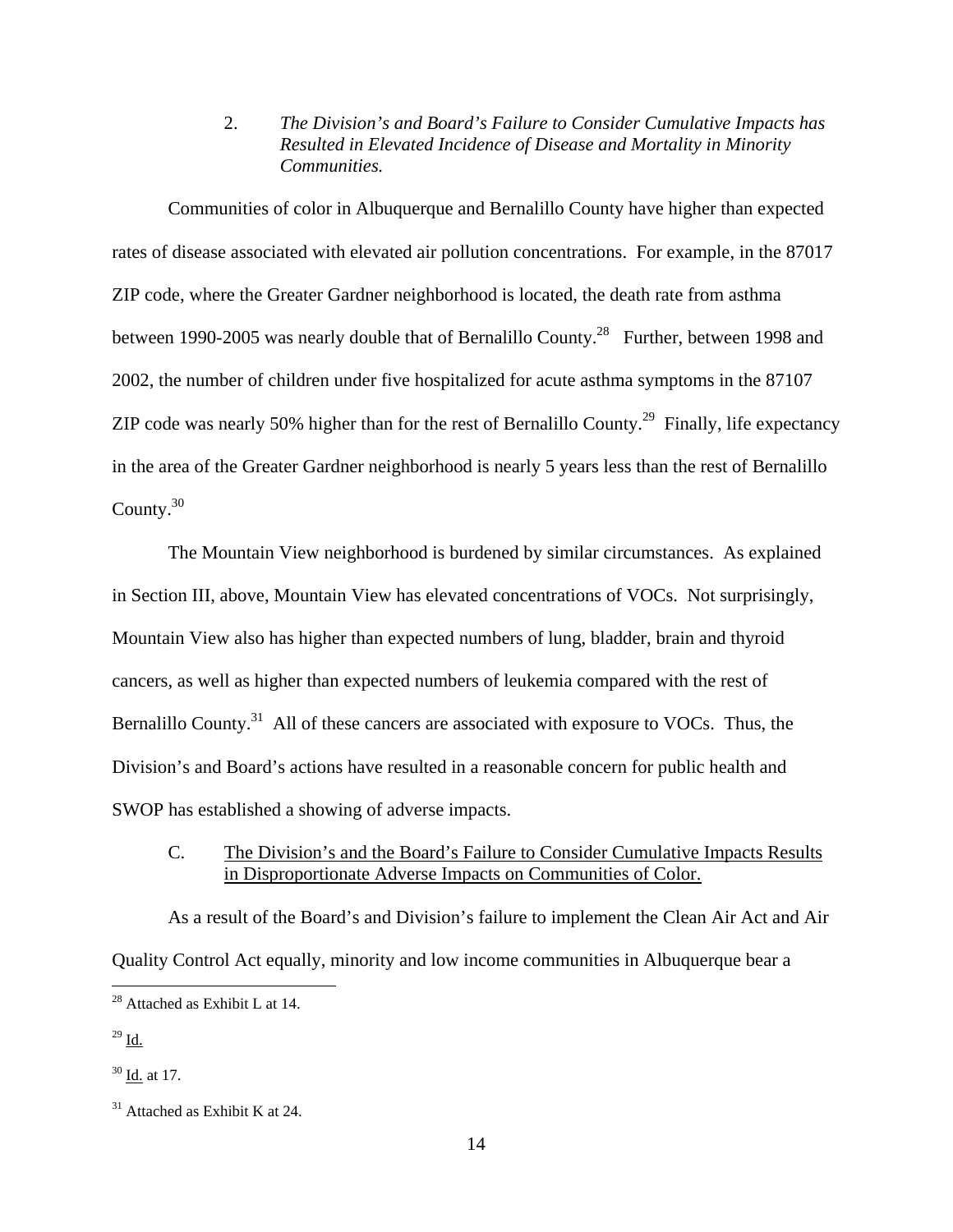2. *The Division's and Board's Failure to Consider Cumulative Impacts has Resulted in Elevated Incidence of Disease and Mortality in Minority Communities.* 

 Communities of color in Albuquerque and Bernalillo County have higher than expected rates of disease associated with elevated air pollution concentrations. For example, in the 87017 ZIP code, where the Greater Gardner neighborhood is located, the death rate from asthma between 1990-2005 was nearly double that of Bernalillo County.<sup>28</sup> Further, between 1998 and 2002, the number of children under five hospitalized for acute asthma symptoms in the 87107 ZIP code was nearly 50% higher than for the rest of Bernalillo County.<sup>29</sup> Finally, life expectancy in the area of the Greater Gardner neighborhood is nearly 5 years less than the rest of Bernalillo County.<sup>30</sup>

 The Mountain View neighborhood is burdened by similar circumstances. As explained in Section III, above, Mountain View has elevated concentrations of VOCs. Not surprisingly, Mountain View also has higher than expected numbers of lung, bladder, brain and thyroid cancers, as well as higher than expected numbers of leukemia compared with the rest of Bernalillo County.<sup>31</sup> All of these cancers are associated with exposure to VOCs. Thus, the Division's and Board's actions have resulted in a reasonable concern for public health and SWOP has established a showing of adverse impacts.

 C. The Division's and the Board's Failure to Consider Cumulative Impacts Results in Disproportionate Adverse Impacts on Communities of Color.

 As a result of the Board's and Division's failure to implement the Clean Air Act and Air Quality Control Act equally, minority and low income communities in Albuquerque bear a

 $^{29}$  Id.

 $\overline{a}$ 

 $28$  Attached as Exhibit L at 14.

 $30$  Id. at 17.

 $31$  Attached as Exhibit K at 24.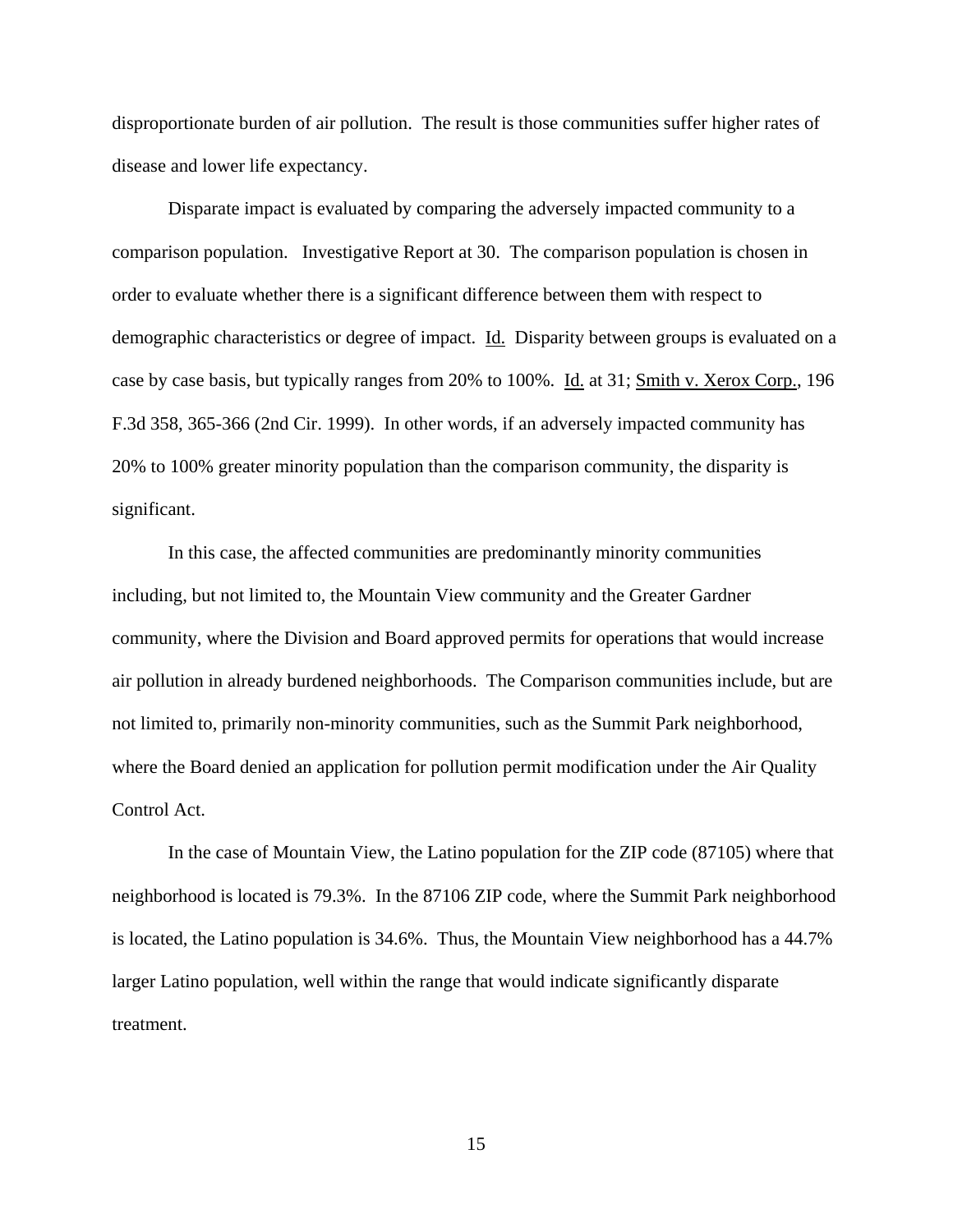disproportionate burden of air pollution. The result is those communities suffer higher rates of disease and lower life expectancy.

 Disparate impact is evaluated by comparing the adversely impacted community to a comparison population. Investigative Report at 30. The comparison population is chosen in order to evaluate whether there is a significant difference between them with respect to demographic characteristics or degree of impact. Id. Disparity between groups is evaluated on a case by case basis, but typically ranges from 20% to 100%. Id. at 31; Smith v. Xerox Corp., 196 F.3d 358, 365-366 (2nd Cir. 1999). In other words, if an adversely impacted community has 20% to 100% greater minority population than the comparison community, the disparity is significant.

 In this case, the affected communities are predominantly minority communities including, but not limited to, the Mountain View community and the Greater Gardner community, where the Division and Board approved permits for operations that would increase air pollution in already burdened neighborhoods. The Comparison communities include, but are not limited to, primarily non-minority communities, such as the Summit Park neighborhood, where the Board denied an application for pollution permit modification under the Air Quality Control Act.

 In the case of Mountain View, the Latino population for the ZIP code (87105) where that neighborhood is located is 79.3%. In the 87106 ZIP code, where the Summit Park neighborhood is located, the Latino population is 34.6%. Thus, the Mountain View neighborhood has a 44.7% larger Latino population, well within the range that would indicate significantly disparate treatment.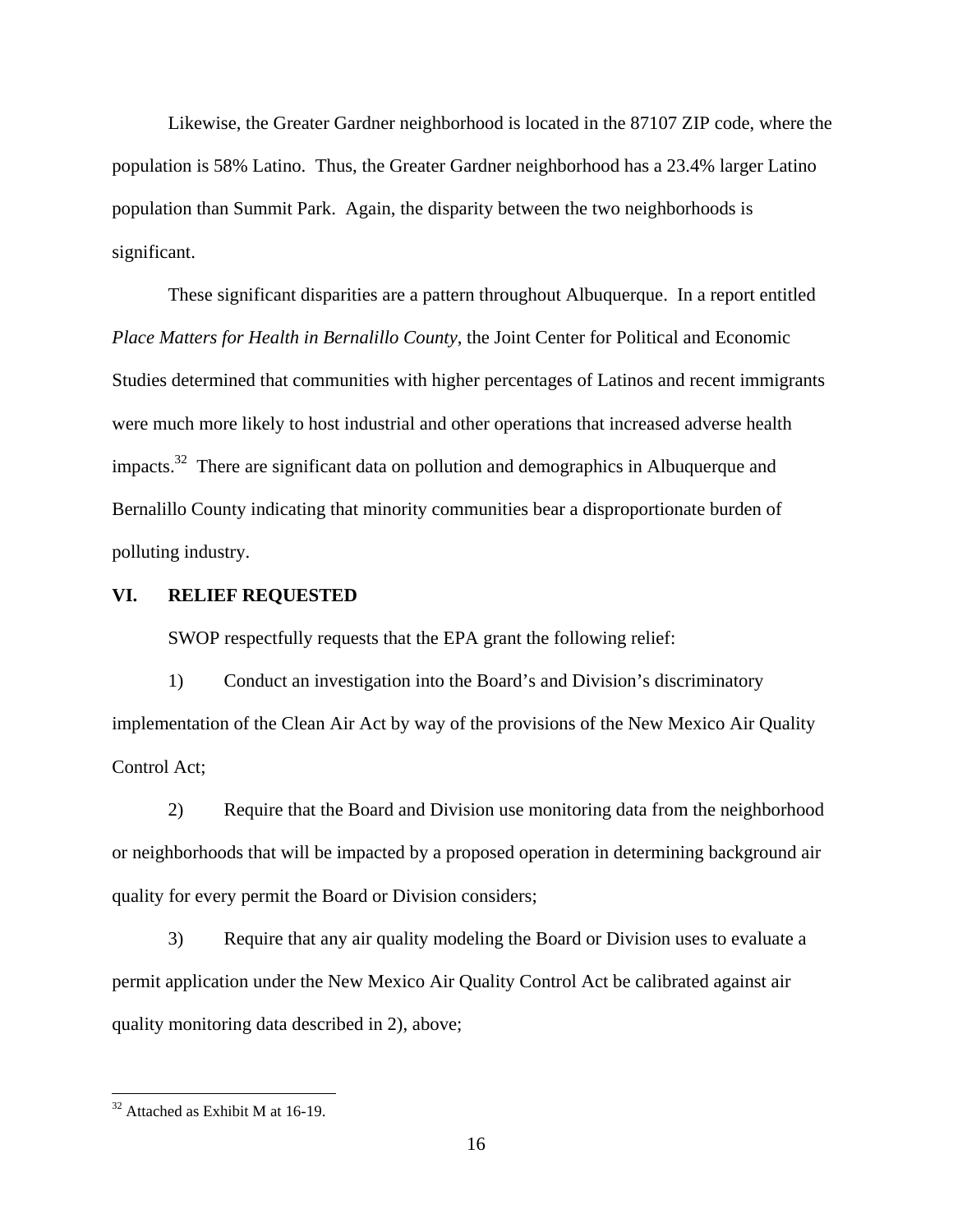Likewise, the Greater Gardner neighborhood is located in the 87107 ZIP code, where the population is 58% Latino. Thus, the Greater Gardner neighborhood has a 23.4% larger Latino population than Summit Park. Again, the disparity between the two neighborhoods is significant.

 These significant disparities are a pattern throughout Albuquerque. In a report entitled *Place Matters for Health in Bernalillo County*, the Joint Center for Political and Economic Studies determined that communities with higher percentages of Latinos and recent immigrants were much more likely to host industrial and other operations that increased adverse health impacts.<sup>32</sup> There are significant data on pollution and demographics in Albuquerque and Bernalillo County indicating that minority communities bear a disproportionate burden of polluting industry.

#### **VI. RELIEF REQUESTED**

SWOP respectfully requests that the EPA grant the following relief:

 1) Conduct an investigation into the Board's and Division's discriminatory implementation of the Clean Air Act by way of the provisions of the New Mexico Air Quality Control Act;

 2) Require that the Board and Division use monitoring data from the neighborhood or neighborhoods that will be impacted by a proposed operation in determining background air quality for every permit the Board or Division considers;

 3) Require that any air quality modeling the Board or Division uses to evaluate a permit application under the New Mexico Air Quality Control Act be calibrated against air quality monitoring data described in 2), above;

<u>.</u>

 $32$  Attached as Exhibit M at 16-19.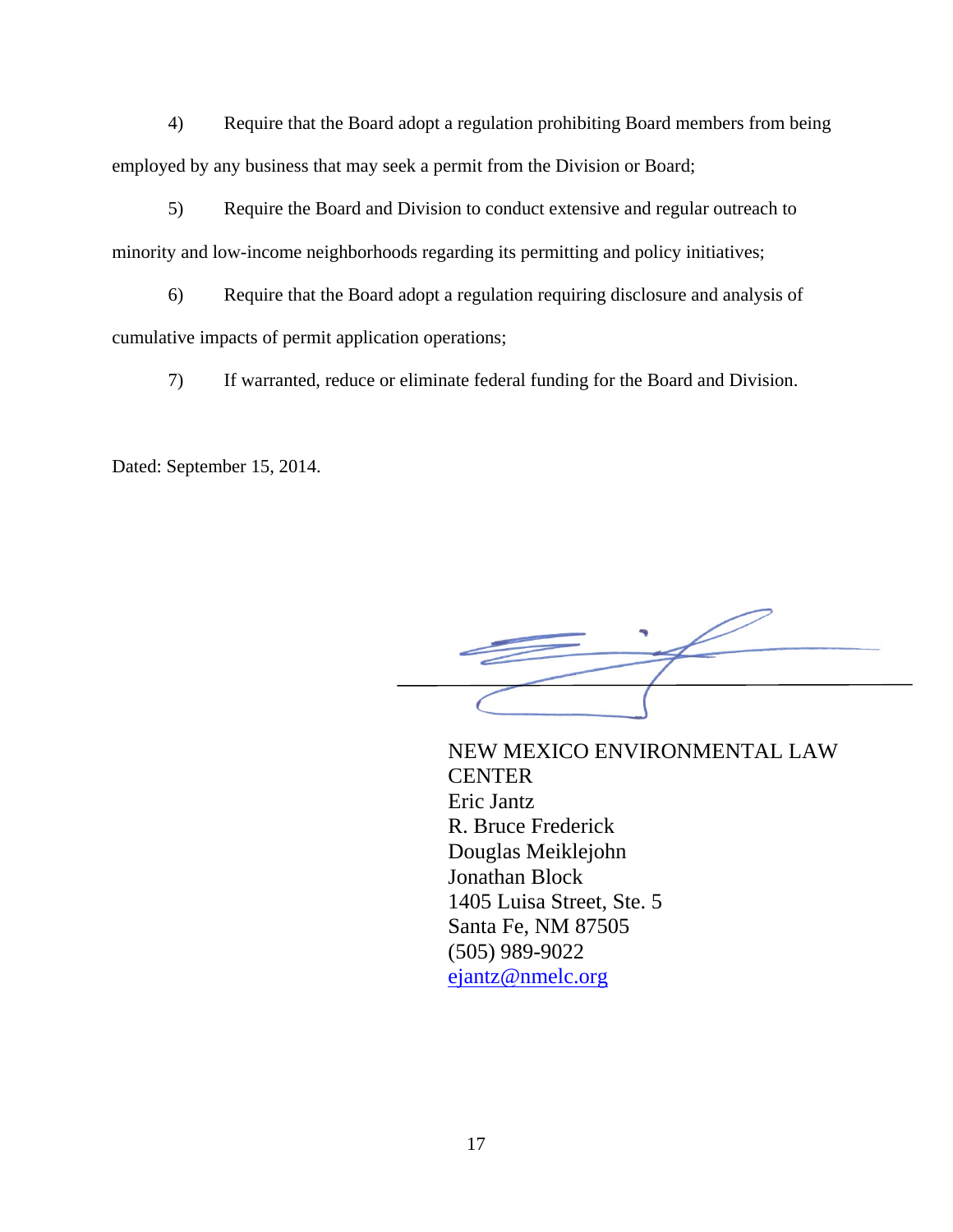4) Require that the Board adopt a regulation prohibiting Board members from being employed by any business that may seek a permit from the Division or Board;

 5) Require the Board and Division to conduct extensive and regular outreach to minority and low-income neighborhoods regarding its permitting and policy initiatives;

 6) Require that the Board adopt a regulation requiring disclosure and analysis of cumulative impacts of permit application operations;

7) If warranted, reduce or eliminate federal funding for the Board and Division.

Dated: September 15, 2014.

NEW MEXICO ENVIRONMENTAL LAW CENTER Eric Jantz R. Bruce Frederick Douglas Meiklejohn Jonathan Block 1405 Luisa Street, Ste. 5 Santa Fe, NM 87505 (505) 989-9022 ejantz@nmelc.org